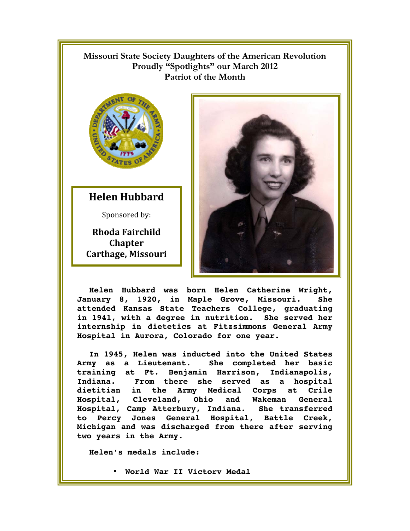## !!!!!!!!! **Missouri State Society Daughters of the American Revolution Proudly "Spotlights" our March 2012 Patriot of the Month**



**Helen Hubbard** 

Sponsored by:

**Rhoda Fairchild Chapter Carthage, Missouri** 



**Helen Hubbard was born Helen Catherine Wright, January 8, 1920, in Maple Grove, Missouri. She attended Kansas State Teachers College, graduating in 1941, with a degree in nutrition. She served her internship in dietetics at Fitzsimmons General Army Hospital in Aurora, Colorado for one year.** 

**In 1945, Helen was inducted into the United States Army as a Lieutenant. She completed her basic training at Ft. Benjamin Harrison, Indianapolis, Indiana. From there she served as a hospital dietitian in the Army Medical Corps at Crile Hospital, Cleveland, Ohio and Wakeman General Hospital, Camp Atterbury, Indiana. She transferred to Percy Jones General Hospital, Battle Creek, Michigan and was discharged from there after serving two years in the Army.** 

**Helen's medals include:** 

• **World War II Victory Medal**